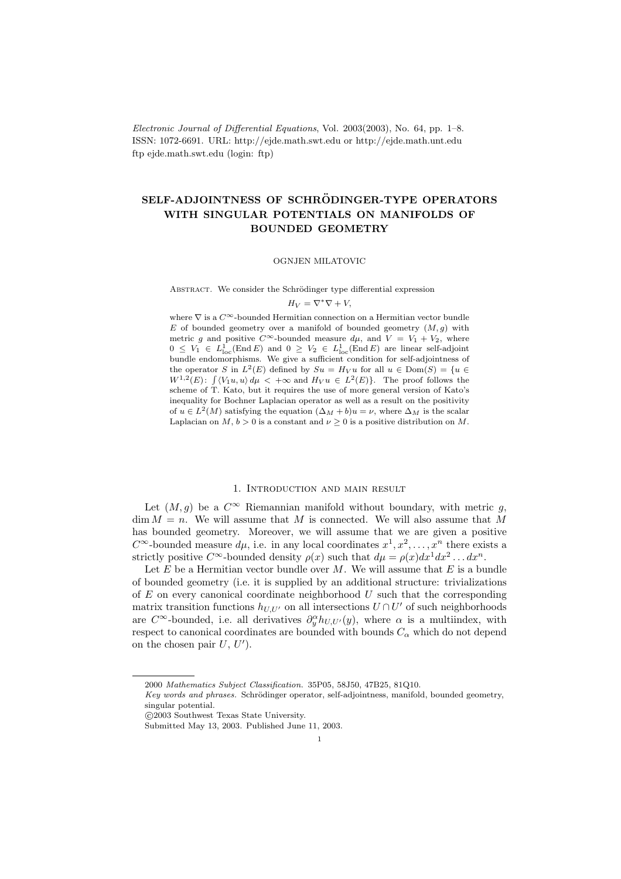Electronic Journal of Differential Equations, Vol. 2003(2003), No. 64, pp. 1–8. ISSN: 1072-6691. URL: http://ejde.math.swt.edu or http://ejde.math.unt.edu ftp ejde.math.swt.edu (login: ftp)

# SELF-ADJOINTNESS OF SCHRÖDINGER-TYPE OPERATORS WITH SINGULAR POTENTIALS ON MANIFOLDS OF BOUNDED GEOMETRY

### OGNJEN MILATOVIC

ABSTRACT. We consider the Schrödinger type differential expression

 $H_V = \nabla^* \nabla + V$ ,

where  $\nabla$  is a  $C^{\infty}$ -bounded Hermitian connection on a Hermitian vector bundle E of bounded geometry over a manifold of bounded geometry  $(M, q)$  with metric g and positive  $C^{\infty}$ -bounded measure  $d\mu$ , and  $V = V_1 + V_2$ , where  $0 \leq V_1 \in L^1_{loc}(\text{End } E)$  and  $0 \geq V_2 \in L^1_{loc}(\text{End } E)$  are linear self-adjoint bundle endomorphisms. We give a sufficient condition for self-adjointness of the operator S in  $L^2(E)$  defined by  $Su = H_V u$  for all  $u \in \text{Dom}(S) = \{u \in$  $W^{1,2}(E)$ :  $\int \langle V_1u, u \rangle d\mu < +\infty$  and  $H_Vu \in L^2(E)$ . The proof follows the scheme of T. Kato, but it requires the use of more general version of Kato's inequality for Bochner Laplacian operator as well as a result on the positivity of  $u \in L^2(M)$  satisfying the equation  $(\Delta_M + b)u = \nu$ , where  $\Delta_M$  is the scalar Laplacian on  $M, b > 0$  is a constant and  $\nu \geq 0$  is a positive distribution on M.

## 1. Introduction and main result

Let  $(M, g)$  be a  $C^{\infty}$  Riemannian manifold without boundary, with metric g,  $\dim M = n$ . We will assume that M is connected. We will also assume that M has bounded geometry. Moreover, we will assume that we are given a positive  $C^{\infty}$ -bounded measure  $d\mu$ , i.e. in any local coordinates  $x^{1}, x^{2}, \ldots, x^{n}$  there exists a strictly positive  $C^{\infty}$ -bounded density  $\rho(x)$  such that  $d\mu = \rho(x)dx^1 dx^2 \dots dx^n$ .

Let  $E$  be a Hermitian vector bundle over  $M$ . We will assume that  $E$  is a bundle of bounded geometry (i.e. it is supplied by an additional structure: trivializations of  $E$  on every canonical coordinate neighborhood  $U$  such that the corresponding matrix transition functions  $h_{U,U'}$  on all intersections  $U \cap U'$  of such neighborhoods are  $C^{\infty}$ -bounded, i.e. all derivatives  $\partial_{y}^{\alpha} h_{U,U'}(y)$ , where  $\alpha$  is a multiindex, with respect to canonical coordinates are bounded with bounds  $C_{\alpha}$  which do not depend on the chosen pair  $U, U'$ ).

<sup>2000</sup> Mathematics Subject Classification. 35P05, 58J50, 47B25, 81Q10.

Key words and phrases. Schrödinger operator, self-adjointness, manifold, bounded geometry, singular potential.

c 2003 Southwest Texas State University.

Submitted May 13, 2003. Published June 11, 2003.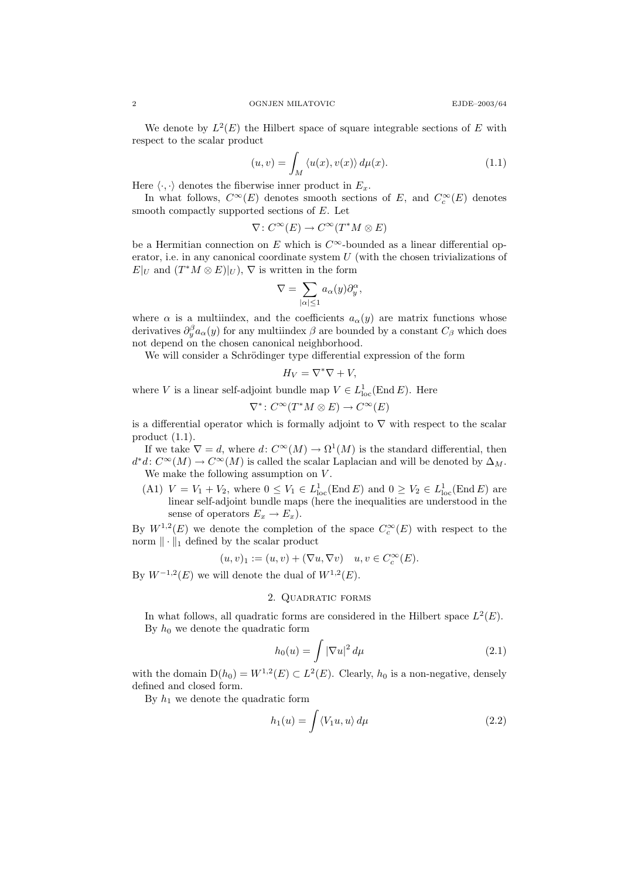We denote by  $L^2(E)$  the Hilbert space of square integrable sections of E with respect to the scalar product

$$
(u,v) = \int_M \langle u(x), v(x) \rangle \, d\mu(x). \tag{1.1}
$$

Here  $\langle \cdot, \cdot \rangle$  denotes the fiberwise inner product in  $E_x$ .

In what follows,  $C^{\infty}(E)$  denotes smooth sections of E, and  $C_c^{\infty}(E)$  denotes smooth compactly supported sections of  $E$ . Let

$$
\nabla\colon C^{\infty}(E) \to C^{\infty}(T^*M \otimes E)
$$

be a Hermitian connection on E which is  $C^{\infty}$ -bounded as a linear differential operator, i.e. in any canonical coordinate system  $U$  (with the chosen trivializations of  $E|_U$  and  $(T^*M \otimes E)|_U)$ ,  $\nabla$  is written in the form

$$
\nabla = \sum_{|\alpha| \le 1} a_{\alpha}(y) \partial_y^{\alpha},
$$

where  $\alpha$  is a multiindex, and the coefficients  $a_{\alpha}(y)$  are matrix functions whose derivatives  $\partial_y^{\beta} a_{\alpha}(y)$  for any multiindex  $\beta$  are bounded by a constant  $C_{\beta}$  which does not depend on the chosen canonical neighborhood.

We will consider a Schrödinger type differential expression of the form

$$
H_V = \nabla^* \nabla + V,
$$

where V is a linear self-adjoint bundle map  $V \in L^1_{loc}(\text{End }E)$ . Here

$$
\nabla^* \colon C^\infty(T^*M \otimes E) \to C^\infty(E)
$$

is a differential operator which is formally adjoint to  $\nabla$  with respect to the scalar product (1.1).

If we take  $\nabla = d$ , where  $d: C^{\infty}(M) \to \Omega^1(M)$  is the standard differential, then  $d^*d: C^{\infty}(M) \to C^{\infty}(M)$  is called the scalar Laplacian and will be denoted by  $\Delta_M$ . We make the following assumption on  $V$ .

(A1)  $V = V_1 + V_2$ , where  $0 \le V_1 \in L^1_{loc}(\text{End } E)$  and  $0 \ge V_2 \in L^1_{loc}(\text{End } E)$  are linear self-adjoint bundle maps (here the inequalities are understood in the sense of operators  $E_x \to E_x$ .

By  $W^{1,2}(E)$  we denote the completion of the space  $C_c^{\infty}(E)$  with respect to the norm  $\|\cdot\|_1$  defined by the scalar product

$$
(u, v)_1 := (u, v) + (\nabla u, \nabla v) \quad u, v \in C_c^{\infty}(E).
$$

By  $W^{-1,2}(E)$  we will denote the dual of  $W^{1,2}(E)$ .

# 2. QUADRATIC FORMS

In what follows, all quadratic forms are considered in the Hilbert space  $L^2(E)$ . By  $h_0$  we denote the quadratic form

$$
h_0(u) = \int |\nabla u|^2 d\mu \qquad (2.1)
$$

with the domain  $D(h_0) = W^{1,2}(E) \subset L^2(E)$ . Clearly,  $h_0$  is a non-negative, densely defined and closed form.

By  $h_1$  we denote the quadratic form

$$
h_1(u) = \int \langle V_1 u, u \rangle \, d\mu \tag{2.2}
$$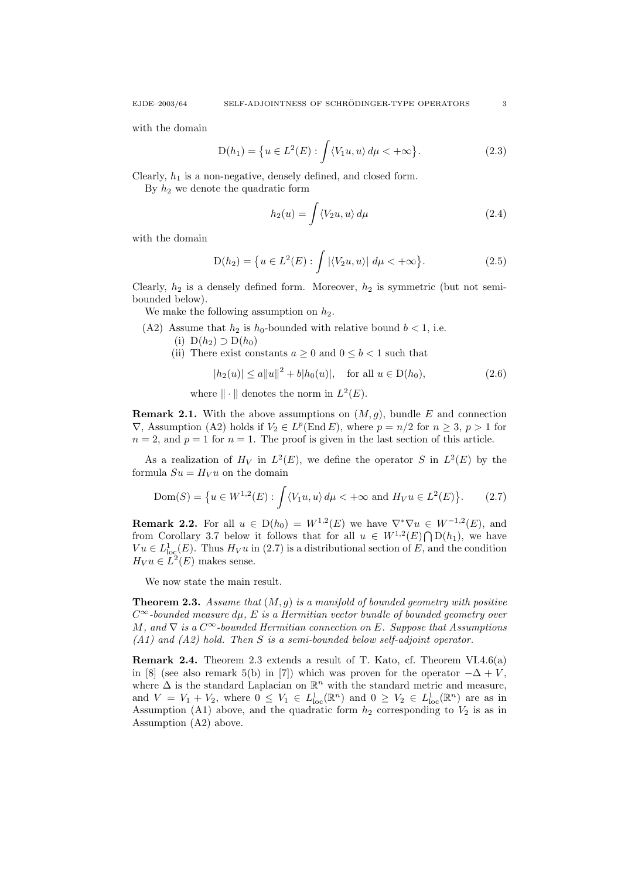with the domain

$$
D(h_1) = \{ u \in L^2(E) : \int \langle V_1 u, u \rangle \, d\mu < +\infty \}. \tag{2.3}
$$

Clearly,  $h_1$  is a non-negative, densely defined, and closed form.

By  $h_2$  we denote the quadratic form

$$
h_2(u) = \int \langle V_2 u, u \rangle \, d\mu \tag{2.4}
$$

with the domain

$$
D(h_2) = \{ u \in L^2(E) : \int |\langle V_2 u, u \rangle| \ d\mu < +\infty \}. \tag{2.5}
$$

Clearly,  $h_2$  is a densely defined form. Moreover,  $h_2$  is symmetric (but not semibounded below).

We make the following assumption on  $h_2$ .

- (A2) Assume that  $h_2$  is  $h_0$ -bounded with relative bound  $b < 1$ , i.e. (i)  $D(h_2) \supset D(h_0)$ 
	- (ii) There exist constants  $a \geq 0$  and  $0 \leq b < 1$  such that

$$
|h_2(u)| \le a||u||^2 + b|h_0(u)|, \quad \text{for all } u \in D(h_0),
$$
 (2.6)

where  $\|\cdot\|$  denotes the norm in  $L^2(E)$ .

**Remark 2.1.** With the above assumptions on  $(M, g)$ , bundle E and connection  $\nabla$ , Assumption (A2) holds if  $V_2 \in L^p(\text{End } E)$ , where  $p = n/2$  for  $n \ge 3$ ,  $p > 1$  for  $n = 2$ , and  $p = 1$  for  $n = 1$ . The proof is given in the last section of this article.

As a realization of  $H_V$  in  $L^2(E)$ , we define the operator S in  $L^2(E)$  by the formula  $Su = H_V u$  on the domain

$$
Dom(S) = \{ u \in W^{1,2}(E) : \int \langle V_1 u, u \rangle \, d\mu < +\infty \text{ and } H_V u \in L^2(E) \}. \tag{2.7}
$$

**Remark 2.2.** For all  $u \in D(h_0) = W^{1,2}(E)$  we have  $\nabla^* \nabla u \in W^{-1,2}(E)$ , and from Corollary 3.7 below it follows that for all  $u \in W^{1,2}(E) \cap D(h_1)$ , we have  $Vu \in L^1_{loc}(E)$ . Thus  $H_V u$  in (2.7) is a distributional section of E, and the condition  $H_V u \in L^2(E)$  makes sense.

We now state the main result.

**Theorem 2.3.** Assume that  $(M, g)$  is a manifold of bounded geometry with positive  $C^{\infty}$ -bounded measure dµ, E is a Hermitian vector bundle of bounded geometry over M, and  $\nabla$  is a  $C^{\infty}$ -bounded Hermitian connection on E. Suppose that Assumptions (A1) and (A2) hold. Then S is a semi-bounded below self-adjoint operator.

Remark 2.4. Theorem 2.3 extends a result of T. Kato, cf. Theorem VI.4.6(a) in [8] (see also remark 5(b) in [7]) which was proven for the operator  $-\Delta + V$ , where  $\Delta$  is the standard Laplacian on  $\mathbb{R}^n$  with the standard metric and measure, and  $V = V_1 + V_2$ , where  $0 \leq V_1 \in L^1_{loc}(\mathbb{R}^n)$  and  $0 \geq V_2 \in L^1_{loc}(\mathbb{R}^n)$  are as in Assumption (A1) above, and the quadratic form  $h_2$  corresponding to  $V_2$  is as in Assumption (A2) above.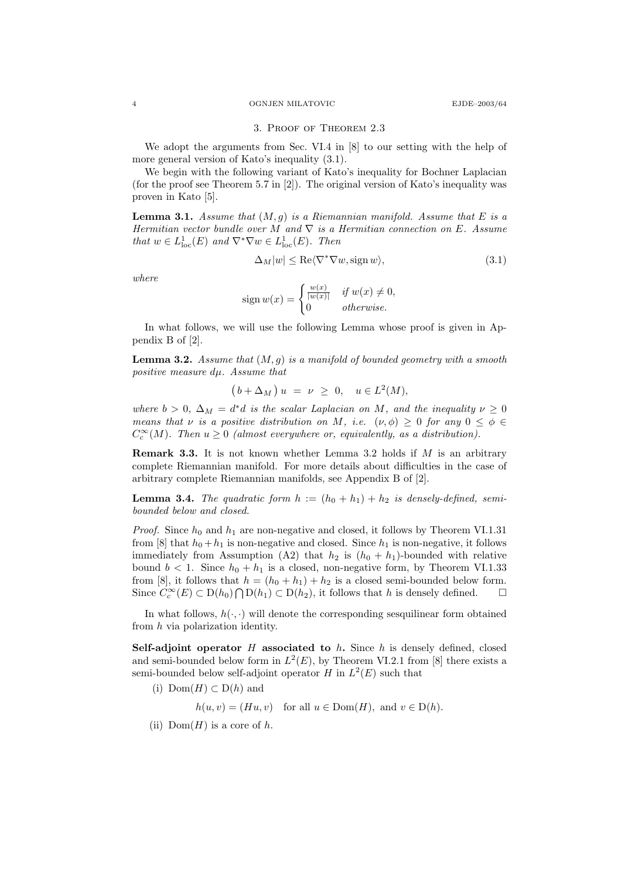#### 3. Proof of Theorem 2.3

We adopt the arguments from Sec. VI.4 in [8] to our setting with the help of more general version of Kato's inequality (3.1).

We begin with the following variant of Kato's inequality for Bochner Laplacian (for the proof see Theorem 5.7 in [2]). The original version of Kato's inequality was proven in Kato [5].

**Lemma 3.1.** Assume that  $(M, q)$  is a Riemannian manifold. Assume that E is a Hermitian vector bundle over M and  $\nabla$  is a Hermitian connection on E. Assume that  $w \in L^1_{loc}(E)$  and  $\nabla^* \nabla w \in L^1_{loc}(E)$ . Then

$$
\Delta_M|w| \le \text{Re}\langle \nabla^* \nabla w, \text{sign } w \rangle,\tag{3.1}
$$

where

$$
sign w(x) = \begin{cases} \frac{w(x)}{|w(x)|} & \text{if } w(x) \neq 0, \\ 0 & \text{otherwise.} \end{cases}
$$

In what follows, we will use the following Lemma whose proof is given in Appendix B of [2].

**Lemma 3.2.** Assume that  $(M, g)$  is a manifold of bounded geometry with a smooth positive measure  $d\mu$ . Assume that

$$
(b + \Delta_M) u = \nu \geq 0, \quad u \in L^2(M),
$$

where  $b > 0$ ,  $\Delta_M = d^*d$  is the scalar Laplacian on M, and the inequality  $\nu \geq 0$ means that v is a positive distribution on M, i.e.  $(\nu, \phi) \geq 0$  for any  $0 \leq \phi \in$  $C_c^{\infty}(M)$ . Then  $u \geq 0$  (almost everywhere or, equivalently, as a distribution).

Remark 3.3. It is not known whether Lemma 3.2 holds if M is an arbitrary complete Riemannian manifold. For more details about difficulties in the case of arbitrary complete Riemannian manifolds, see Appendix B of [2].

**Lemma 3.4.** The quadratic form  $h := (h_0 + h_1) + h_2$  is densely-defined, semibounded below and closed.

*Proof.* Since  $h_0$  and  $h_1$  are non-negative and closed, it follows by Theorem VI.1.31 from [8] that  $h_0 + h_1$  is non-negative and closed. Since  $h_1$  is non-negative, it follows immediately from Assumption (A2) that  $h_2$  is  $(h_0 + h_1)$ -bounded with relative bound  $b < 1$ . Since  $h_0 + h_1$  is a closed, non-negative form, by Theorem VI.1.33 from [8], it follows that  $h = (h_0 + h_1) + h_2$  is a closed semi-bounded below form. Since  $C_c^{\infty}(E) \subset D(h_0) \cap D(h_1) \subset D(h_2)$ , it follows that h is densely defined.  $\Box$ 

In what follows,  $h(\cdot, \cdot)$  will denote the corresponding sesquilinear form obtained from h via polarization identity.

Self-adjoint operator H associated to h. Since h is densely defined, closed and semi-bounded below form in  $L^2(E)$ , by Theorem VI.2.1 from [8] there exists a semi-bounded below self-adjoint operator H in  $L^2(E)$  such that

(i)  $Dom(H) \subset D(h)$  and

 $h(u, v) = (Hu, v)$  for all  $u \in Dom(H)$ , and  $v \in D(h)$ .

(ii)  $Dom(H)$  is a core of h.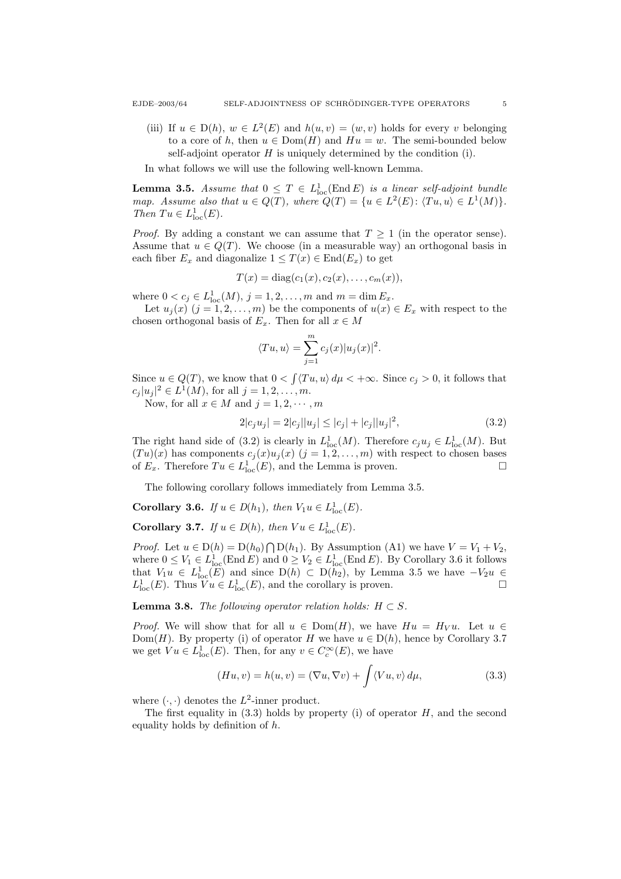(iii) If  $u \in D(h)$ ,  $w \in L^2(E)$  and  $h(u, v) = (w, v)$  holds for every v belonging to a core of h, then  $u \in Dom(H)$  and  $Hu = w$ . The semi-bounded below self-adjoint operator  $H$  is uniquely determined by the condition (i).

In what follows we will use the following well-known Lemma.

**Lemma 3.5.** Assume that  $0 \leq T \in L^1_{loc}(\text{End } E)$  is a linear self-adjoint bundle map. Assume also that  $u \in Q(T)$ , where  $Q(T) = \{u \in L^2(E) : \langle Tu, u \rangle \in L^1(M) \}.$ Then  $Tu \in L^1_{loc}(E)$ .

*Proof.* By adding a constant we can assume that  $T \geq 1$  (in the operator sense). Assume that  $u \in Q(T)$ . We choose (in a measurable way) an orthogonal basis in each fiber  $E_x$  and diagonalize  $1 \leq T(x) \in \text{End}(E_x)$  to get

$$
T(x) = diag(c_1(x), c_2(x), \dots, c_m(x)),
$$

where  $0 < c_j \in L^1_{loc}(M)$ ,  $j = 1, 2, ..., m$  and  $m = \dim E_x$ .

Let  $u_j(x)$   $(j = 1, 2, ..., m)$  be the components of  $u(x) \in E_x$  with respect to the chosen orthogonal basis of  $E_x$ . Then for all  $x \in M$ 

$$
\langle Tu, u \rangle = \sum_{j=1}^{m} c_j(x) |u_j(x)|^2.
$$

Since  $u \in Q(T)$ , we know that  $0 < \int \langle Tu, u \rangle d\mu < +\infty$ . Since  $c_j > 0$ , it follows that  $c_j |u_j|^2 \in L^1(M)$ , for all  $j = 1, 2, ..., m$ .

Now, for all  $x \in M$  and  $j = 1, 2, \dots, m$ 

$$
2|c_j u_j| = 2|c_j||u_j| \le |c_j| + |c_j||u_j|^2,
$$
\n(3.2)

The right hand side of (3.2) is clearly in  $L^1_{loc}(M)$ . Therefore  $c_ju_j \in L^1_{loc}(M)$ . But  $(Tu)(x)$  has components  $c_j(x)u_j(x)$   $(j = 1, 2, ..., m)$  with respect to chosen bases of  $E_x$ . Therefore  $Tu \in L^1_{loc}(E)$ , and the Lemma is proven.

The following corollary follows immediately from Lemma 3.5.

**Corollary 3.6.** If  $u \in D(h_1)$ , then  $V_1u \in L^1_{loc}(E)$ .

**Corollary 3.7.** If  $u \in D(h)$ , then  $Vu \in L^1_{loc}(E)$ .

*Proof.* Let  $u \in D(h) = D(h_0) \cap D(h_1)$ . By Assumption (A1) we have  $V = V_1 + V_2$ , where  $0 \leq V_1 \in L^1_{loc}(\text{End } E)$  and  $0 \geq V_2 \in L^1_{loc}(\text{End } E)$ . By Corollary 3.6 it follows that  $V_1u \in L^1_{loc}(E)$  and since  $D(h) \subset D(h_2)$ , by Lemma 3.5 we have  $-V_2u \in$  $L^1_{loc}(E)$ . Thus  $Vu \in L^1_{loc}(E)$ , and the corollary is proven.

**Lemma 3.8.** The following operator relation holds:  $H \subset S$ .

*Proof.* We will show that for all  $u \in Dom(H)$ , we have  $Hu = H_V u$ . Let  $u \in$ Dom(H). By property (i) of operator H we have  $u \in D(h)$ , hence by Corollary 3.7 we get  $Vu \in L^1_{loc}(E)$ . Then, for any  $v \in C_c^{\infty}(E)$ , we have

$$
(Hu, v) = h(u, v) = (\nabla u, \nabla v) + \int \langle Vu, v \rangle \, d\mu,\tag{3.3}
$$

where  $(\cdot, \cdot)$  denotes the  $L^2$ -inner product.

The first equality in  $(3.3)$  holds by property (i) of operator H, and the second equality holds by definition of  $h$ .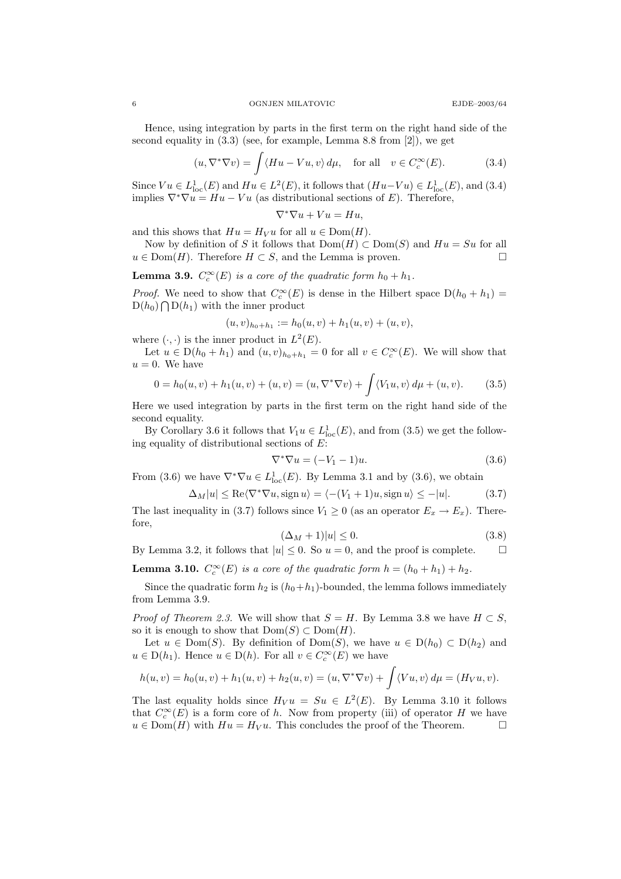Hence, using integration by parts in the first term on the right hand side of the second equality in (3.3) (see, for example, Lemma 8.8 from [2]), we get

$$
(u, \nabla^* \nabla v) = \int \langle Hu - Vu, v \rangle \, d\mu, \quad \text{for all} \quad v \in C_c^{\infty}(E). \tag{3.4}
$$

Since  $Vu \in L^1_{loc}(E)$  and  $Hu \in L^2(E)$ , it follows that  $(Hu-Vu) \in L^1_{loc}(E)$ , and  $(3.4)$ implies  $\nabla^*\nabla u = Hu - Vu$  (as distributional sections of E). Therefore,

$$
\nabla^*\nabla u + Vu = Hu,
$$

and this shows that  $Hu = H_V u$  for all  $u \in Dom(H)$ .

Now by definition of S it follows that  $Dom(H) \subset Dom(S)$  and  $Hu = Su$  for all  $u \in \text{Dom}(H)$ . Therefore  $H \subset S$ , and the Lemma is proven.

**Lemma 3.9.**  $C_c^{\infty}(E)$  is a core of the quadratic form  $h_0 + h_1$ .

*Proof.* We need to show that  $C_c^{\infty}(E)$  is dense in the Hilbert space  $D(h_0 + h_1) =$  $D(h_0) \bigcap D(h_1)$  with the inner product

$$
(u,v)_{h_0+h_1} := h_0(u,v) + h_1(u,v) + (u,v),
$$

where  $(\cdot, \cdot)$  is the inner product in  $L^2(E)$ .

Let  $u \in D(h_0 + h_1)$  and  $(u, v)_{h_0 + h_1} = 0$  for all  $v \in C_c^{\infty}(E)$ . We will show that  $u = 0$ . We have

$$
0 = h_0(u, v) + h_1(u, v) + (u, v) = (u, \nabla^* \nabla v) + \int \langle V_1 u, v \rangle d\mu + (u, v).
$$
 (3.5)

Here we used integration by parts in the first term on the right hand side of the second equality.

By Corollary 3.6 it follows that  $V_1u \in L^1_{loc}(E)$ , and from (3.5) we get the following equality of distributional sections of  $E$ :

$$
\nabla^* \nabla u = (-V_1 - 1)u. \tag{3.6}
$$

From (3.6) we have  $\nabla^* \nabla u \in L^1_{loc}(E)$ . By Lemma 3.1 and by (3.6), we obtain

$$
\Delta_M|u| \le \text{Re}\langle \nabla^* \nabla u, \text{sign } u \rangle = \langle -(V_1 + 1)u, \text{sign } u \rangle \le -|u|. \tag{3.7}
$$

The last inequality in (3.7) follows since  $V_1 \geq 0$  (as an operator  $E_x \to E_x$ ). Therefore,

$$
(\Delta_M + 1)|u| \le 0. \tag{3.8}
$$

By Lemma 3.2, it follows that  $|u| \leq 0$ . So  $u = 0$ , and the proof is complete.  $\square$ 

**Lemma 3.10.**  $C_c^{\infty}(E)$  is a core of the quadratic form  $h = (h_0 + h_1) + h_2$ .

Since the quadratic form  $h_2$  is  $(h_0+h_1)$ -bounded, the lemma follows immediately from Lemma 3.9.

*Proof of Theorem 2.3.* We will show that  $S = H$ . By Lemma 3.8 we have  $H \subset S$ , so it is enough to show that  $Dom(S) \subset Dom(H)$ .

Let  $u \in \text{Dom}(S)$ . By definition of  $\text{Dom}(S)$ , we have  $u \in D(h_0) \subset D(h_2)$  and  $u \in D(h_1)$ . Hence  $u \in D(h)$ . For all  $v \in C_c^{\infty}(E)$  we have

$$
h(u, v) = h_0(u, v) + h_1(u, v) + h_2(u, v) = (u, \nabla^* \nabla v) + \int \langle Vu, v \rangle d\mu = (H_V u, v).
$$

The last equality holds since  $H_V u = Su \in L^2(E)$ . By Lemma 3.10 it follows that  $C_c^{\infty}(E)$  is a form core of h. Now from property (iii) of operator H we have  $u \in \text{Dom}(H)$  with  $Hu = H_V u$ . This concludes the proof of the Theorem.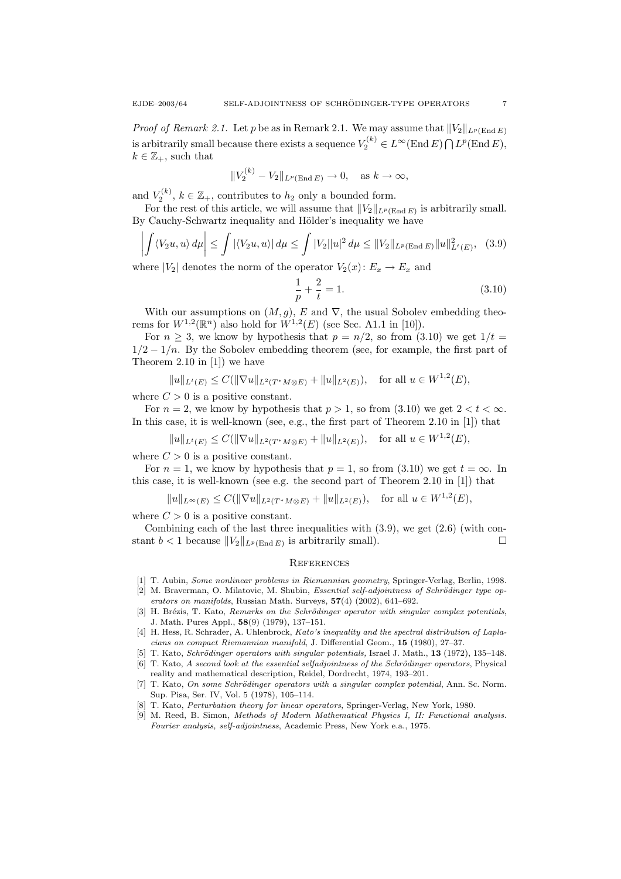*Proof of Remark 2.1.* Let p be as in Remark 2.1. We may assume that  $||V_2||_{L^p(\text{End }E)}$ is arbitrarily small because there exists a sequence  $V_2^{(k)} \in L^{\infty}(\text{End } E) \bigcap L^p(\text{End } E),$  $k \in \mathbb{Z}_+$ , such that

$$
||V_2^{(k)} - V_2||_{L^p(\text{End }E)} \to 0, \text{ as } k \to \infty,
$$

and  $V_2^{(k)}$ ,  $k \in \mathbb{Z}_+$ , contributes to  $h_2$  only a bounded form.

For the rest of this article, we will assume that  $||V_2||_{L^p(\text{End } E)}$  is arbitrarily small. By Cauchy-Schwartz inequality and Hölder's inequality we have

$$
\left| \int \langle V_2 u, u \rangle \, d\mu \right| \le \int \left| \langle V_2 u, u \rangle \right| d\mu \le \int |V_2| |u|^2 \, d\mu \le \|V_2\|_{L^p(\text{End } E)} \|u\|_{L^t(E)}^2, \tag{3.9}
$$

where  $|V_2|$  denotes the norm of the operator  $V_2(x)$ :  $E_x \to E_x$  and

$$
\frac{1}{p} + \frac{2}{t} = 1.
$$
\n(3.10)

With our assumptions on  $(M, g)$ , E and  $\nabla$ , the usual Sobolev embedding theorems for  $W^{1,2}(\mathbb{R}^n)$  also hold for  $W^{1,2}(E)$  (see Sec. A1.1 in [10]).

For  $n \geq 3$ , we know by hypothesis that  $p = n/2$ , so from (3.10) we get  $1/t =$  $1/2 - 1/n$ . By the Sobolev embedding theorem (see, for example, the first part of Theorem 2.10 in [1]) we have

$$
||u||_{L^{t}(E)} \leq C(||\nabla u||_{L^{2}(T^{*}M\otimes E)} + ||u||_{L^{2}(E)}), \text{ for all } u \in W^{1,2}(E),
$$

where  $C > 0$  is a positive constant.

For  $n = 2$ , we know by hypothesis that  $p > 1$ , so from (3.10) we get  $2 < t < \infty$ . In this case, it is well-known (see, e.g., the first part of Theorem 2.10 in [1]) that

$$
||u||_{L^{t}(E)} \leq C(||\nabla u||_{L^{2}(T^{*}M \otimes E)} + ||u||_{L^{2}(E)}), \text{ for all } u \in W^{1,2}(E),
$$

where  $C > 0$  is a positive constant.

For  $n = 1$ , we know by hypothesis that  $p = 1$ , so from (3.10) we get  $t = \infty$ . In this case, it is well-known (see e.g. the second part of Theorem 2.10 in [1]) that

$$
||u||_{L^{\infty}(E)} \leq C(||\nabla u||_{L^{2}(T^{*}M \otimes E)} + ||u||_{L^{2}(E)}), \text{ for all } u \in W^{1,2}(E),
$$

where  $C > 0$  is a positive constant.

Combining each of the last three inequalities with (3.9), we get (2.6) (with constant  $b < 1$  because  $||V_2||_{L^p(\text{End } E)}$  is arbitrarily small).

## **REFERENCES**

- [1] T. Aubin, Some nonlinear problems in Riemannian geometry, Springer-Verlag, Berlin, 1998.
- [2] M. Braverman, O. Milatovic, M. Shubin, *Essential self-adjointness of Schrödinger type op*erators on manifolds, Russian Math. Surveys,  $57(4)$  (2002), 641–692.
- [3] H. Brézis, T. Kato, Remarks on the Schrödinger operator with singular complex potentials, J. Math. Pures Appl., 58(9) (1979), 137–151.
- [4] H. Hess, R. Schrader, A. Uhlenbrock, Kato's inequality and the spectral distribution of Laplacians on compact Riemannian manifold, J. Differential Geom., 15 (1980), 27–37.
- [5] T. Kato, Schrödinger operators with singular potentials, Israel J. Math., 13 (1972), 135–148.
- [6] T. Kato, A second look at the essential selfadjointness of the Schrödinger operators, Physical reality and mathematical description, Reidel, Dordrecht, 1974, 193–201.
- T. Kato, On some Schrödinger operators with a singular complex potential, Ann. Sc. Norm. Sup. Pisa, Ser. IV, Vol. 5 (1978), 105–114.
- [8] T. Kato, Perturbation theory for linear operators, Springer-Verlag, New York, 1980.
- [9] M. Reed, B. Simon, Methods of Modern Mathematical Physics I, II: Functional analysis. Fourier analysis, self-adjointness, Academic Press, New York e.a., 1975.